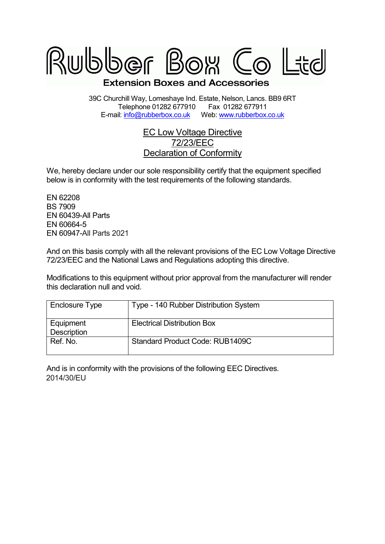

39C Churchill Way, Lomeshaye Ind. Estate, Nelson, Lancs. BB9 6RT Telephone 01282 677910 E-mail: info@rubberbox.co.ukWeb: www.rubberbox.co.uk

## EC Low Voltage Directive 72/23/EEC Declaration of Conformity

We, hereby declare under our sole responsibility certify that the equipment specified below is in conformity with the test requirements of the following standards.

EN 62208 BS 7909 EN 60439-All Parts EN 60664-5 EN 60947-All Parts All 2021

And on this basis comply with all the relevant provisions of the EC Low Voltage Directive 72/23/EEC and the National Laws and Regulations adopting this directive.

Modifications to this equipment without prior approval from the manufacturer will render this declaration null and void.

| Enclosure Type           | Type - 140 Rubber Distribution System |
|--------------------------|---------------------------------------|
| Equipment<br>Description | <b>Electrical Distribution Box</b>    |
| Ref. No.                 | Standard Product Code: RUB1409C       |

And is in conformity with the provisions of the following EEC Directives. 2014/30/EU